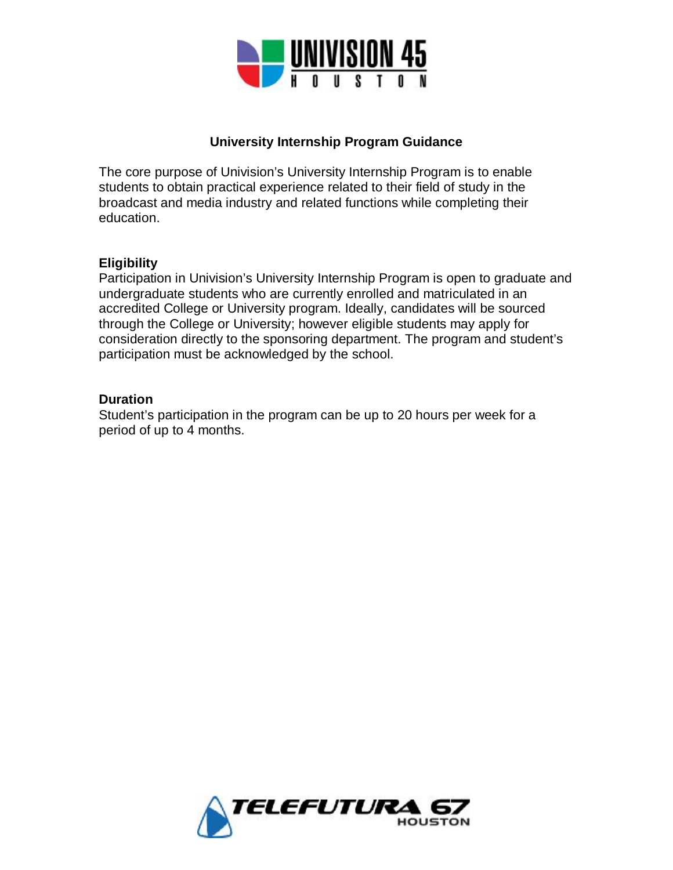

### **University Internship Program Guidance**

The core purpose of Univision's University Internship Program is to enable students to obtain practical experience related to their field of study in the broadcast and media industry and related functions while completing their education.

#### **Eligibility**

Participation in Univision's University Internship Program is open to graduate and undergraduate students who are currently enrolled and matriculated in an accredited College or University program. Ideally, candidates will be sourced through the College or University; however eligible students may apply for consideration directly to the sponsoring department. The program and student's participation must be acknowledged by the school.

#### **Duration**

Student's participation in the program can be up to 20 hours per week for a period of up to 4 months.

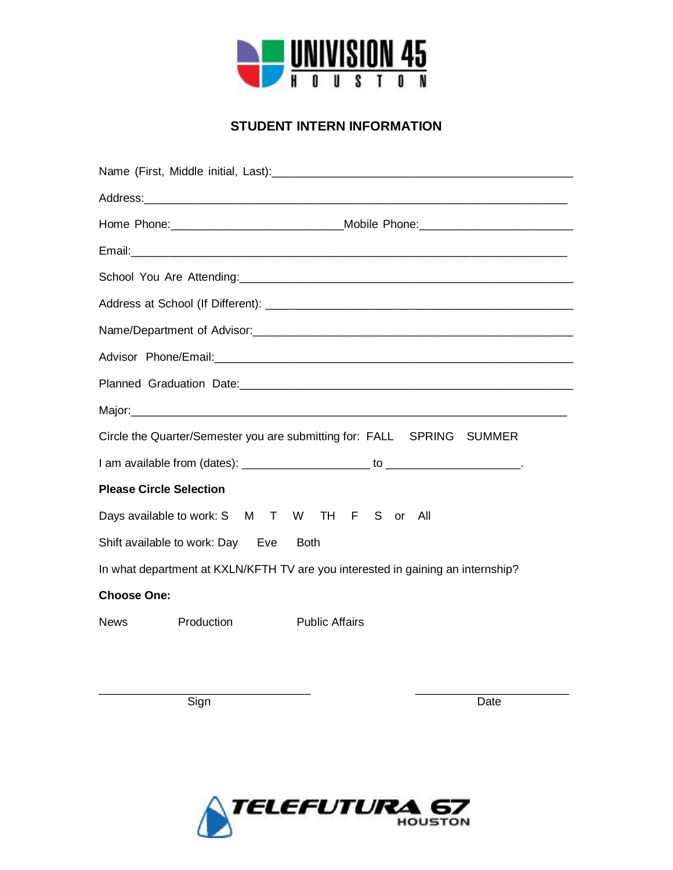

## **STUDENT INTERN INFORMATION**

|                                                                                                                |            | Home Phone: ___________________________________Mobile Phone: ____________________ |
|----------------------------------------------------------------------------------------------------------------|------------|-----------------------------------------------------------------------------------|
|                                                                                                                |            |                                                                                   |
|                                                                                                                |            |                                                                                   |
|                                                                                                                |            |                                                                                   |
|                                                                                                                |            |                                                                                   |
| Advisor Phone/Email: 2008 2009 2009 2010 2020 2020 2021 2022 2023 2024 2022 2023 2024 2022 2023 2024 2022 2023 |            |                                                                                   |
|                                                                                                                |            |                                                                                   |
|                                                                                                                |            |                                                                                   |
| Circle the Quarter/Semester you are submitting for: FALL SPRING SUMMER                                         |            |                                                                                   |
|                                                                                                                |            |                                                                                   |
| <b>Please Circle Selection</b>                                                                                 |            |                                                                                   |
| Days available to work: S M T W TH F S or All                                                                  |            |                                                                                   |
| Shift available to work: Day Eve Both                                                                          |            |                                                                                   |
| In what department at KXLN/KFTH TV are you interested in gaining an internship?                                |            |                                                                                   |
| <b>Choose One:</b>                                                                                             |            |                                                                                   |
| <b>News</b>                                                                                                    | Production | <b>Public Affairs</b>                                                             |
|                                                                                                                |            |                                                                                   |

Sign **Date** 



\_\_\_\_\_\_\_\_\_\_\_\_\_\_\_\_\_\_\_\_\_\_\_\_\_\_\_\_\_\_\_\_\_ \_\_\_\_\_\_\_\_\_\_\_\_\_\_\_\_\_\_\_\_\_\_\_\_